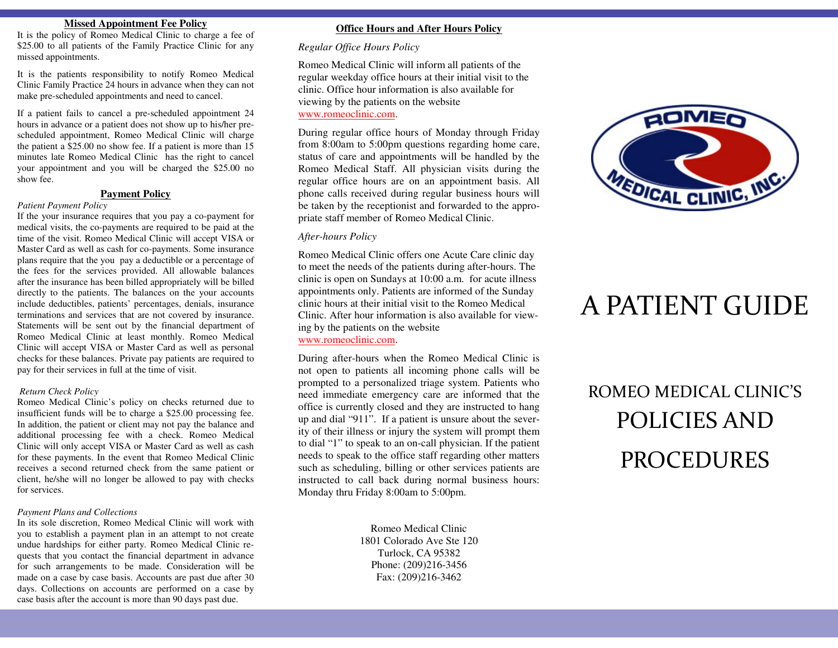### **Missed Appointment Fee Policy**

 It is the policy of Romeo Medical Clinic to charge a fee of \$25.00 to all patients of the Family Practice Clinic for any missed appointments.

It is the patients responsibility to notify Romeo Medical Clinic Family Practice 24 hours in advance when they can not make pre-scheduled appointments and need to cancel.

If a patient fails to cancel a pre-scheduled appointment 24 hours in advance or a patient does not show up to his/her prescheduled appointment, Romeo Medical Clinic will charge the patient a \$25.00 no show fee. If a patient is more than 15 minutes late Romeo Medical Clinic has the right to cancel your appointment and you will be charged the \$25.00 no show fee.

## **Payment Policy**

### *Patient Payment Policy*

 If the your insurance requires that you pay a co-payment for medical visits, the co-payments are required to be paid at the time of the visit. Romeo Medical Clinic will accept VISA or Master Card as well as cash for co-payments. Some insurance plans require that the you pay a deductible or a percentage of the fees for the services provided. All allowable balances after the insurance has been billed appropriately will be billed directly to the patients. The balances on the your accounts include deductibles, patients' percentages, denials, insurance terminations and services that are not covered by insurance. Statements will be sent out by the financial department of Romeo Medical Clinic at least monthly. Romeo Medical Clinic will accept VISA or Master Card as well as personal checks for these balances. Private pay patients are required to pay for their services in full at the time of visit.

### *Return Check Policy*

 Romeo Medical Clinic's policy on checks returned due to insufficient funds will be to charge a \$25.00 processing fee. In addition, the patient or client may not pay the balance and additional processing fee with a check. Romeo Medical Clinic will only accept VISA or Master Card as well as cash for these payments. In the event that Romeo Medical Clinic receives a second returned check from the same patient or client, he/she will no longer be allowed to pay with checks for services.

### *Payment Plans and Collections*

 In its sole discretion, Romeo Medical Clinic will work with you to establish a payment plan in an attempt to not create undue hardships for either party. Romeo Medical Clinic requests that you contact the financial department in advance for such arrangements to be made. Consideration will be made on a case by case basis. Accounts are past due after 30 days. Collections on accounts are performed on a case by case basis after the account is more than 90 days past due.

## **Office Hours and After Hours Policy**

# *Regular Office Hours Policy*

Romeo Medical Clinic will inform all patients of the regular weekday office hours at their initial visit to the clinic. Office hour information is also available for viewing by the patients on the website www.romeoclinic.com.

During regular office hours of Monday through Friday from 8:00am to 5:00pm questions regarding home care, status of care and appointments will be handled by the Romeo Medical Staff. All physician visits during the regular office hours are on an appointment basis. All phone calls received during regular business hours will be taken by the receptionist and forwarded to the appropriate staff member of Romeo Medical Clinic.

### *After-hours Policy*

Romeo Medical Clinic offers one Acute Care clinic day to meet the needs of the patients during after-hours. The clinic is open on Sundays at 10:00 a.m. for acute illness appointments only. Patients are informed of the Sunday clinic hours at their initial visit to the Romeo Medical Clinic. After hour information is also available for viewing by the patients on the website

www.romeoclinic.com.

During after-hours when the Romeo Medical Clinic is not open to patients all incoming phone calls will be prompted to a personalized triage system. Patients who need immediate emergency care are informed that the office is currently closed and they are instructed to hang up and dial "911". If a patient is unsure about the severity of their illness or injury the system will prompt them to dial "1" to speak to an on-call physician. If the patient needs to speak to the office staff regarding other matters such as scheduling, billing or other services patients are instructed to call back during normal business hours: Monday thru Friday 8:00am to 5:00pm.

> Romeo Medical Clinic 1801 Colorado Ave Ste 120 Turlock, CA 95382 Phone: (209)216-3456 Fax: (209)216-3462



# A PATIENT GUIDE

# ROMEO MEDICAL CLINIC'S POLICIES AND PROCEDURES